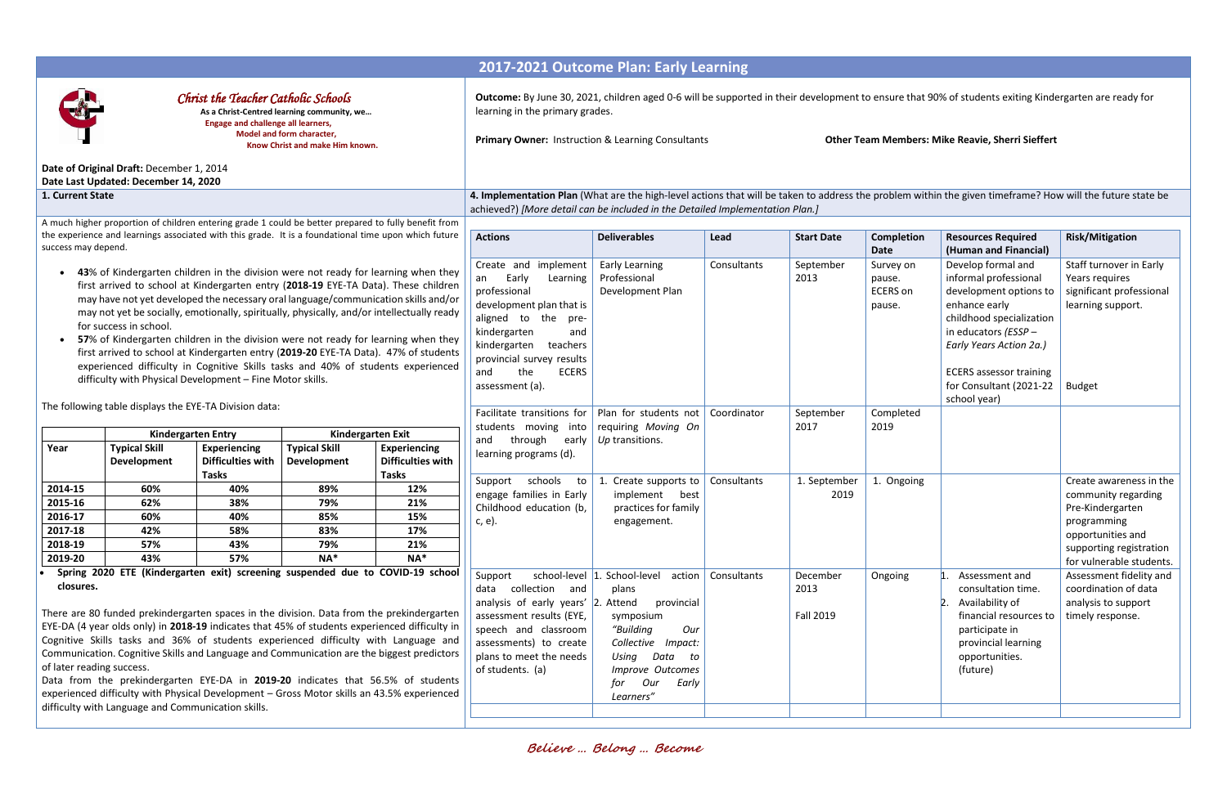## **2017-2021 Outcome Plan: Early Learning** *Christ the Teacher Catholic Schools* **As a Christ-Centred learning community, we… Engage and challenge all learners, Model and form character, Know Christ and make Him known. Date of Original Draft:** December 1, 2014 **Date Last Updated: December 14, 2020 Outcome:** By June 30, 2021, children aged 0-6 will be supported in their development to ensure that 90% of students exiting Kindergarten are ready for learning in the primary grades. **Primary Owner:** Instruction & Learning Consultants **Other Team Members: Mike Reavie, Sherri Sieffert**

**1. Current State 4. Implementation Plan** (What are the high-level actions that will be taken to address the problem within the given timeframe? How will the future state be achieved?) *[More detail can be included in the Detailed Implementation Plan.]*

A much higher proportion of children entering grade 1 could be better prepared to fully benefit from the experience and learnings associated with this grade. It is a foundational time upon which future success may depend.

- **43**% of Kindergarten children in the division were not ready for learning when they first arrived to school at Kindergarten entry (**2018-19** EYE-TA Data). These children may have not yet developed the necessary oral language/communication skills and/or may not yet be socially, emotionally, spiritually, physically, and/or intellectually ready for success in school.
- **57**% of Kindergarten children in the division were not ready for learning when they first arrived to school at Kindergarten entry (**2019-20** EYE-TA Data). 47% of students experienced difficulty in Cognitive Skills tasks and 40% of students experienced difficulty with Physical Development – Fine Motor skills.

The following table displays the EYE-TA Division data:

|         |                                            | <b>Kindergarten Entry</b>                                | <b>Kindergarten Exit</b>                   |                                                          |  |
|---------|--------------------------------------------|----------------------------------------------------------|--------------------------------------------|----------------------------------------------------------|--|
| Year    | <b>Typical Skill</b><br><b>Development</b> | <b>Experiencing</b><br><b>Difficulties with</b><br>Tasks | <b>Typical Skill</b><br><b>Development</b> | <b>Experiencing</b><br><b>Difficulties with</b><br>Tasks |  |
| 2014-15 | 60%                                        | 40%                                                      | 89%                                        | 12%                                                      |  |
| 2015-16 | 62%                                        | 38%                                                      | 79%                                        | 21%                                                      |  |
| 2016-17 | 60%                                        | 40%                                                      | 85%                                        | 15%                                                      |  |
| 2017-18 | 42%                                        | 58%                                                      | 83%                                        | 17%                                                      |  |
| 2018-19 | 57%                                        | 43%                                                      | 79%                                        | 21%                                                      |  |
| 2019-20 | 43%                                        | 57%                                                      | $NA*$                                      | $NA*$                                                    |  |

 **Spring 2020 ETE (Kindergarten exit) screening suspended due to COVID-19 school closures.**

There are 80 funded prekindergarten spaces in the division. Data from the prekindergarten EYE-DA (4 year olds only) in **2018-19** indicates that 45% of students experienced difficulty in Cognitive Skills tasks and 36% of students experienced difficulty with Language and Communication. Cognitive Skills and Language and Communication are the biggest predictors of later reading success.

Data from the prekindergarten EYE-DA in **2019-20** indicates that 56.5% of students experienced difficulty with Physical Development – Gross Motor skills an 43.5% experienced difficulty with Language and Communication skills.

| <b>Actions</b>                                                                                                                                                                                                                      | <b>Deliverables</b>                                                                                                                                                                                 | Lead        | <b>Start Date</b>                    | Completion                                                      | <b>Resources Required</b>                                                                                                                                                                                                       | <b>Risk/Mitigation</b>                                                                                                                                        |
|-------------------------------------------------------------------------------------------------------------------------------------------------------------------------------------------------------------------------------------|-----------------------------------------------------------------------------------------------------------------------------------------------------------------------------------------------------|-------------|--------------------------------------|-----------------------------------------------------------------|---------------------------------------------------------------------------------------------------------------------------------------------------------------------------------------------------------------------------------|---------------------------------------------------------------------------------------------------------------------------------------------------------------|
| Create and implement<br>Early<br>Learning<br>an<br>professional<br>development plan that is<br>aligned to the<br>pre-<br>kindergarten<br>and<br>kindergarten<br>teachers<br>provincial survey results<br>the<br><b>ECERS</b><br>and | <b>Early Learning</b><br>Professional<br>Development Plan                                                                                                                                           | Consultants | September<br>2013                    | <b>Date</b><br>Survey on<br>pause.<br><b>ECERS</b> on<br>pause. | (Human and Financial)<br>Develop formal and<br>informal professional<br>development options to<br>enhance early<br>childhood specialization<br>in educators (ESSP-<br>Early Years Action 2a.)<br><b>ECERS assessor training</b> | Staff turnover in Early<br>Years requires<br>significant professional<br>learning support.                                                                    |
| assessment (a).<br>Facilitate transitions for<br>students moving into                                                                                                                                                               | Plan for students not<br>requiring Moving On                                                                                                                                                        | Coordinator | September<br>2017                    | Completed<br>2019                                               | for Consultant (2021-22<br>school year)                                                                                                                                                                                         | <b>Budget</b>                                                                                                                                                 |
| through<br>and<br>early<br>learning programs (d).                                                                                                                                                                                   | Up transitions.                                                                                                                                                                                     |             |                                      |                                                                 |                                                                                                                                                                                                                                 |                                                                                                                                                               |
| schools<br>Support<br>to<br>engage families in Early<br>Childhood education (b,<br>$c, e$ ).                                                                                                                                        | 1. Create supports to<br>implement<br>best<br>practices for family<br>engagement.                                                                                                                   | Consultants | 1. September<br>2019                 | 1. Ongoing                                                      |                                                                                                                                                                                                                                 | Create awareness in the<br>community regarding<br>Pre-Kindergarten<br>programming<br>opportunities and<br>supporting registration<br>for vulnerable students. |
| Support<br>collection<br>and<br>data<br>analysis of early years' 2. Attend<br>assessment results (EYE,<br>speech and classroom<br>assessments) to create<br>plans to meet the needs<br>of students. (a)                             | school-level 1. School-level<br>action<br>plans<br>provincial<br>symposium<br>"Building<br>Our<br>Collective Impact:<br>Data<br>Using<br>to<br>Improve Outcomes<br>Our<br>for<br>Early<br>Learners" | Consultants | December<br>2013<br><b>Fall 2019</b> | Ongoing                                                         | $\mathbf{1}$<br>Assessment and<br>consultation time.<br>$\mathsf{2}$ .<br>Availability of<br>financial resources to<br>participate in<br>provincial learning<br>opportunities.<br>(future)                                      | Assessment fidelity and<br>coordination of data<br>analysis to support<br>timely response.                                                                    |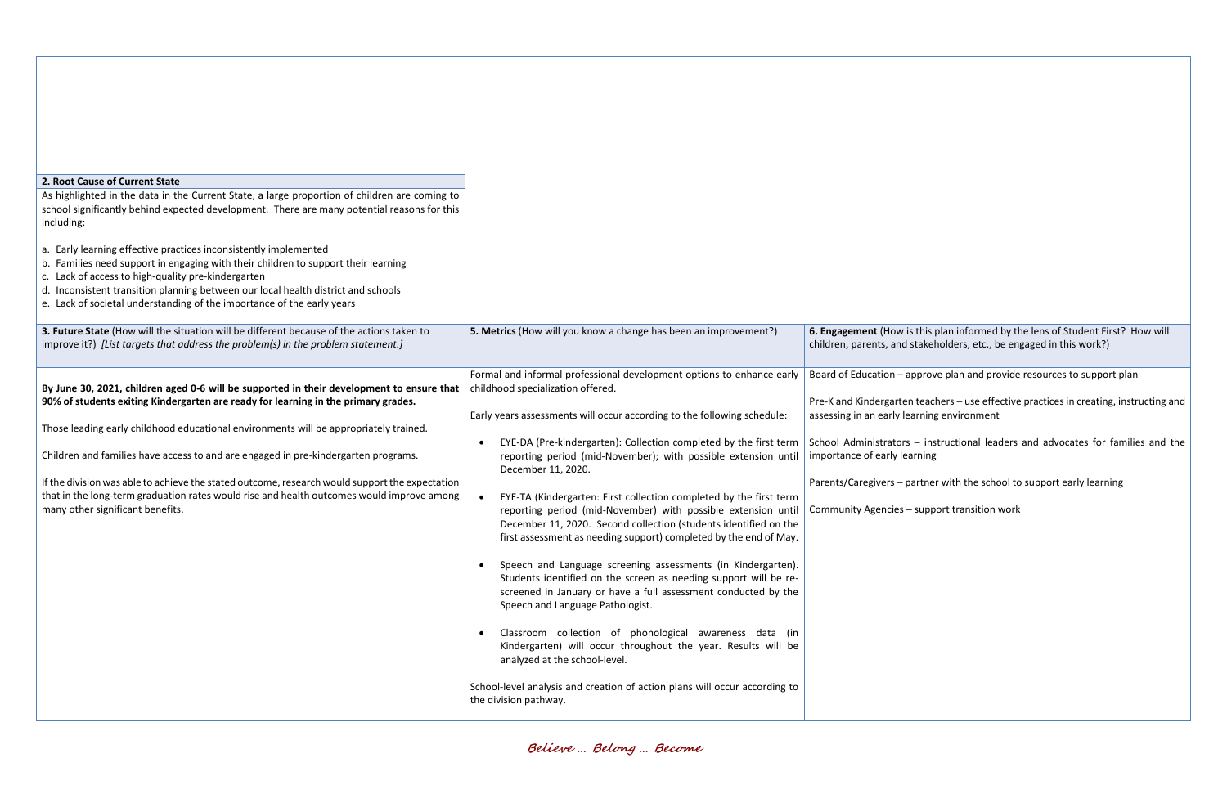**Example 15. Metana informed by the lens of Student First? How will** nd stakeholders, etc., be engaged in this work?)

approve plan and provide resources to support plan

ten teachers – use effective practices in creating, instructing and / learning environment

ors – instructional leaders and advocates for families and the learning

- partner with the school to support early learning

s – support transition work

| 2. Root Cause of Current State<br>As highlighted in the data in the Current State, a large proportion of children are coming to<br>school significantly behind expected development. There are many potential reasons for this<br>including:<br>a. Early learning effective practices inconsistently implemented<br>b. Families need support in engaging with their children to support their learning<br>c. Lack of access to high-quality pre-kindergarten<br>d. Inconsistent transition planning between our local health district and schools<br>e. Lack of societal understanding of the importance of the early years<br>3. Future State (How will the situation will be different because of the actions taken to<br>improve it?) [List targets that address the problem(s) in the problem statement.] | 5. Metrics (How will you know a change has been an improvement?)                                                                                                                                                                                                                                                                                                                                                                                                                                                                                                                                                                                                                                                                                                                                                                                                                                                                                                                                                                                                                                                                                                           | 6. Engagement (How<br>children, parents, an                                                                                                                               |
|---------------------------------------------------------------------------------------------------------------------------------------------------------------------------------------------------------------------------------------------------------------------------------------------------------------------------------------------------------------------------------------------------------------------------------------------------------------------------------------------------------------------------------------------------------------------------------------------------------------------------------------------------------------------------------------------------------------------------------------------------------------------------------------------------------------|----------------------------------------------------------------------------------------------------------------------------------------------------------------------------------------------------------------------------------------------------------------------------------------------------------------------------------------------------------------------------------------------------------------------------------------------------------------------------------------------------------------------------------------------------------------------------------------------------------------------------------------------------------------------------------------------------------------------------------------------------------------------------------------------------------------------------------------------------------------------------------------------------------------------------------------------------------------------------------------------------------------------------------------------------------------------------------------------------------------------------------------------------------------------------|---------------------------------------------------------------------------------------------------------------------------------------------------------------------------|
| By June 30, 2021, children aged 0-6 will be supported in their development to ensure that<br>90% of students exiting Kindergarten are ready for learning in the primary grades.<br>Those leading early childhood educational environments will be appropriately trained.<br>Children and families have access to and are engaged in pre-kindergarten programs.<br>If the division was able to achieve the stated outcome, research would support the expectation<br>that in the long-term graduation rates would rise and health outcomes would improve among<br>many other significant benefits.                                                                                                                                                                                                             | Formal and informal professional development options to enhance early<br>childhood specialization offered.<br>Early years assessments will occur according to the following schedule:<br>EYE-DA (Pre-kindergarten): Collection completed by the first term<br>reporting period (mid-November); with possible extension until<br>December 11, 2020.<br>EYE-TA (Kindergarten: First collection completed by the first term<br>reporting period (mid-November) with possible extension until<br>December 11, 2020. Second collection (students identified on the<br>first assessment as needing support) completed by the end of May.<br>Speech and Language screening assessments (in Kindergarten).<br>$\bullet$<br>Students identified on the screen as needing support will be re-<br>screened in January or have a full assessment conducted by the<br>Speech and Language Pathologist.<br>Classroom collection of phonological awareness data (in<br>$\bullet$<br>Kindergarten) will occur throughout the year. Results will be<br>analyzed at the school-level.<br>School-level analysis and creation of action plans will occur according to<br>the division pathway. | Board of Education -<br>Pre-K and Kindergart<br>assessing in an early<br>School Administrato<br>importance of early I<br>Parents/Caregivers-<br><b>Community Agencies</b> |